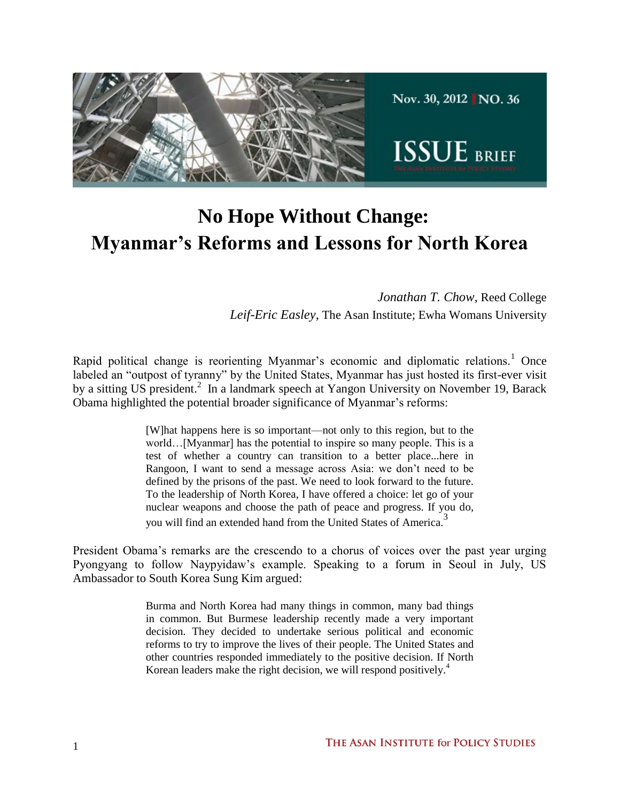

# **No Hope Without Change: Myanmar's Reforms and Lessons for North Korea**

*Jonathan T. Chow*, Reed College *Leif-Eric Easley*, The Asan Institute; Ewha Womans University

Rapid political change is reorienting Myanmar's economic and diplomatic relations.<sup>1</sup> Once labeled an "outpost of tyranny" by the United States, Myanmar has just hosted its first-ever visit by a sitting US president.<sup>2</sup> In a landmark speech at Yangon University on November 19, Barack Obama highlighted the potential broader significance of Myanmar's reforms:

> [W]hat happens here is so important—not only to this region, but to the world…[Myanmar] has the potential to inspire so many people. This is a test of whether a country can transition to a better place...here in Rangoon, I want to send a message across Asia: we don't need to be defined by the prisons of the past. We need to look forward to the future. To the leadership of North Korea, I have offered a choice: let go of your nuclear weapons and choose the path of peace and progress. If you do, you will find an extended hand from the United States of America.<sup>3</sup>

President Obama's remarks are the crescendo to a chorus of voices over the past year urging Pyongyang to follow Naypyidaw's example. Speaking to a forum in Seoul in July, US Ambassador to South Korea Sung Kim argued:

> Burma and North Korea had many things in common, many bad things in common. But Burmese leadership recently made a very important decision. They decided to undertake serious political and economic reforms to try to improve the lives of their people. The United States and other countries responded immediately to the positive decision. If North Korean leaders make the right decision, we will respond positively.<sup>4</sup>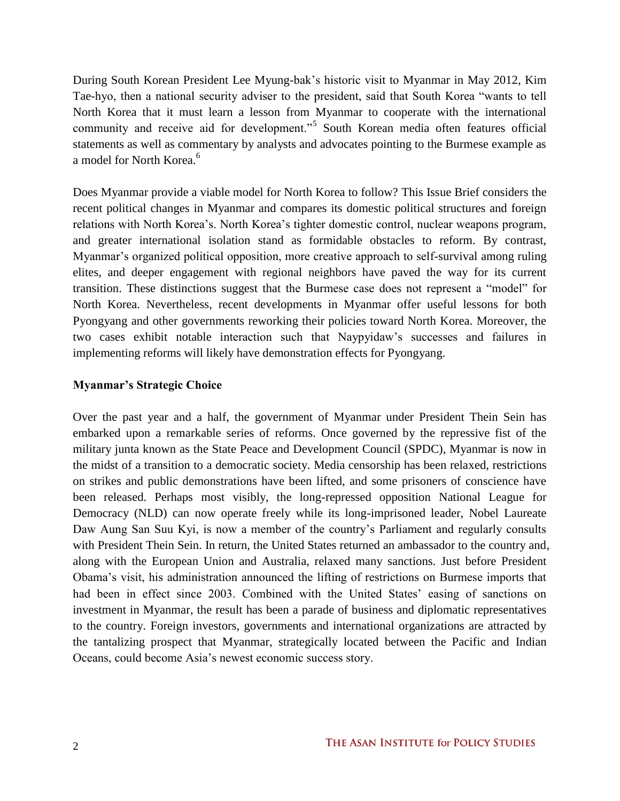During South Korean President Lee Myung-bak's historic visit to Myanmar in May 2012, Kim Tae-hyo, then a national security adviser to the president, said that South Korea "wants to tell North Korea that it must learn a lesson from Myanmar to cooperate with the international community and receive aid for development."<sup>5</sup> South Korean media often features official statements as well as commentary by analysts and advocates pointing to the Burmese example as a model for North Korea.<sup>6</sup>

Does Myanmar provide a viable model for North Korea to follow? This Issue Brief considers the recent political changes in Myanmar and compares its domestic political structures and foreign relations with North Korea's. North Korea's tighter domestic control, nuclear weapons program, and greater international isolation stand as formidable obstacles to reform. By contrast, Myanmar's organized political opposition, more creative approach to self-survival among ruling elites, and deeper engagement with regional neighbors have paved the way for its current transition. These distinctions suggest that the Burmese case does not represent a "model" for North Korea. Nevertheless, recent developments in Myanmar offer useful lessons for both Pyongyang and other governments reworking their policies toward North Korea. Moreover, the two cases exhibit notable interaction such that Naypyidaw's successes and failures in implementing reforms will likely have demonstration effects for Pyongyang.

## **Myanmar's Strategic Choice**

Over the past year and a half, the government of Myanmar under President Thein Sein has embarked upon a remarkable series of reforms. Once governed by the repressive fist of the military junta known as the State Peace and Development Council (SPDC), Myanmar is now in the midst of a transition to a democratic society. Media censorship has been relaxed, restrictions on strikes and public demonstrations have been lifted, and some prisoners of conscience have been released. Perhaps most visibly, the long-repressed opposition National League for Democracy (NLD) can now operate freely while its long-imprisoned leader, Nobel Laureate Daw Aung San Suu Kyi, is now a member of the country's Parliament and regularly consults with President Thein Sein. In return, the United States returned an ambassador to the country and, along with the European Union and Australia, relaxed many sanctions. Just before President Obama's visit, his administration announced the lifting of restrictions on Burmese imports that had been in effect since 2003. Combined with the United States' easing of sanctions on investment in Myanmar, the result has been a parade of business and diplomatic representatives to the country. Foreign investors, governments and international organizations are attracted by the tantalizing prospect that Myanmar, strategically located between the Pacific and Indian Oceans, could become Asia's newest economic success story.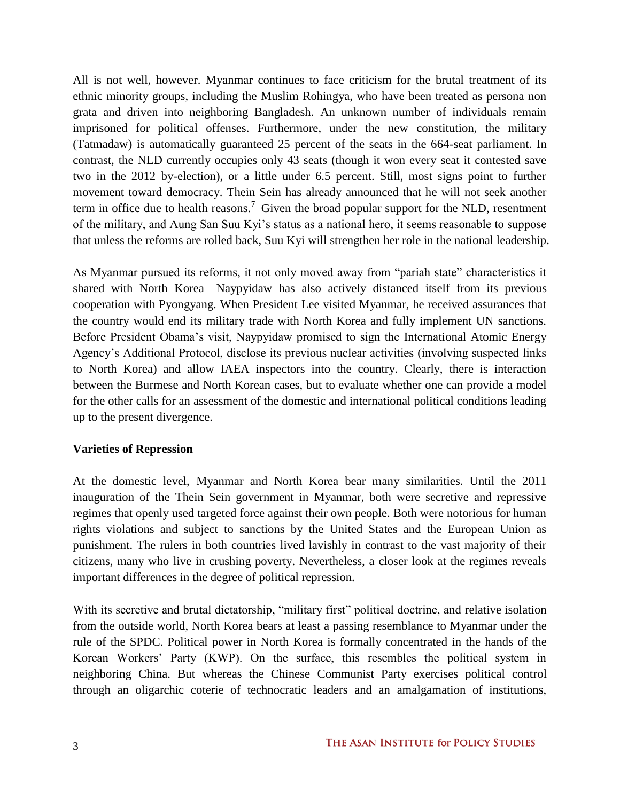All is not well, however. Myanmar continues to face criticism for the brutal treatment of its ethnic minority groups, including the Muslim Rohingya, who have been treated as persona non grata and driven into neighboring Bangladesh. An unknown number of individuals remain imprisoned for political offenses. Furthermore, under the new constitution, the military (Tatmadaw) is automatically guaranteed 25 percent of the seats in the 664-seat parliament. In contrast, the NLD currently occupies only 43 seats (though it won every seat it contested save two in the 2012 by-election), or a little under 6.5 percent. Still, most signs point to further movement toward democracy. Thein Sein has already announced that he will not seek another term in office due to health reasons.<sup>7</sup> Given the broad popular support for the NLD, resentment of the military, and Aung San Suu Kyi's status as a national hero, it seems reasonable to suppose that unless the reforms are rolled back, Suu Kyi will strengthen her role in the national leadership.

As Myanmar pursued its reforms, it not only moved away from "pariah state" characteristics it shared with North Korea—Naypyidaw has also actively distanced itself from its previous cooperation with Pyongyang. When President Lee visited Myanmar, he received assurances that the country would end its military trade with North Korea and fully implement UN sanctions. Before President Obama's visit, Naypyidaw promised to sign the International Atomic Energy Agency's Additional Protocol, disclose its previous nuclear activities (involving suspected links to North Korea) and allow IAEA inspectors into the country. Clearly, there is interaction between the Burmese and North Korean cases, but to evaluate whether one can provide a model for the other calls for an assessment of the domestic and international political conditions leading up to the present divergence.

#### **Varieties of Repression**

At the domestic level, Myanmar and North Korea bear many similarities. Until the 2011 inauguration of the Thein Sein government in Myanmar, both were secretive and repressive regimes that openly used targeted force against their own people. Both were notorious for human rights violations and subject to sanctions by the United States and the European Union as punishment. The rulers in both countries lived lavishly in contrast to the vast majority of their citizens, many who live in crushing poverty. Nevertheless, a closer look at the regimes reveals important differences in the degree of political repression.

With its secretive and brutal dictatorship, "military first" political doctrine, and relative isolation from the outside world, North Korea bears at least a passing resemblance to Myanmar under the rule of the SPDC. Political power in North Korea is formally concentrated in the hands of the Korean Workers' Party (KWP). On the surface, this resembles the political system in neighboring China. But whereas the Chinese Communist Party exercises political control through an oligarchic coterie of technocratic leaders and an amalgamation of institutions,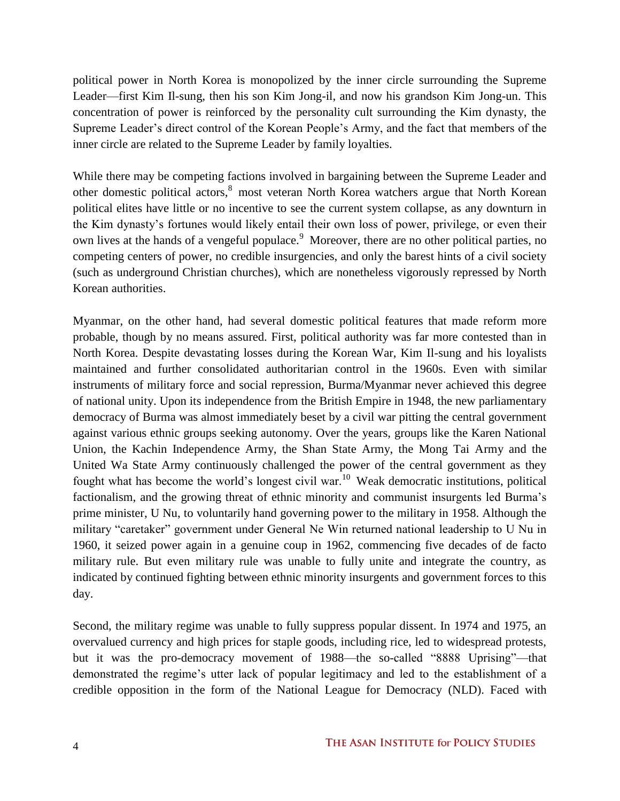political power in North Korea is monopolized by the inner circle surrounding the Supreme Leader—first Kim Il-sung, then his son Kim Jong-il, and now his grandson Kim Jong-un. This concentration of power is reinforced by the personality cult surrounding the Kim dynasty, the Supreme Leader's direct control of the Korean People's Army, and the fact that members of the inner circle are related to the Supreme Leader by family loyalties.

While there may be competing factions involved in bargaining between the Supreme Leader and other domestic political actors,<sup>8</sup> most veteran North Korea watchers argue that North Korean political elites have little or no incentive to see the current system collapse, as any downturn in the Kim dynasty's fortunes would likely entail their own loss of power, privilege, or even their own lives at the hands of a vengeful populace.<sup>9</sup> Moreover, there are no other political parties, no competing centers of power, no credible insurgencies, and only the barest hints of a civil society (such as underground Christian churches), which are nonetheless vigorously repressed by North Korean authorities.

Myanmar, on the other hand, had several domestic political features that made reform more probable, though by no means assured. First, political authority was far more contested than in North Korea. Despite devastating losses during the Korean War, Kim Il-sung and his loyalists maintained and further consolidated authoritarian control in the 1960s. Even with similar instruments of military force and social repression, Burma/Myanmar never achieved this degree of national unity. Upon its independence from the British Empire in 1948, the new parliamentary democracy of Burma was almost immediately beset by a civil war pitting the central government against various ethnic groups seeking autonomy. Over the years, groups like the Karen National Union, the Kachin Independence Army, the Shan State Army, the Mong Tai Army and the United Wa State Army continuously challenged the power of the central government as they fought what has become the world's longest civil war.<sup>10</sup> Weak democratic institutions, political factionalism, and the growing threat of ethnic minority and communist insurgents led Burma's prime minister, U Nu, to voluntarily hand governing power to the military in 1958. Although the military "caretaker" government under General Ne Win returned national leadership to U Nu in 1960, it seized power again in a genuine coup in 1962, commencing five decades of de facto military rule. But even military rule was unable to fully unite and integrate the country, as indicated by continued fighting between ethnic minority insurgents and government forces to this day.

Second, the military regime was unable to fully suppress popular dissent. In 1974 and 1975, an overvalued currency and high prices for staple goods, including rice, led to widespread protests, but it was the pro-democracy movement of 1988—the so-called "8888 Uprising"—that demonstrated the regime's utter lack of popular legitimacy and led to the establishment of a credible opposition in the form of the National League for Democracy (NLD). Faced with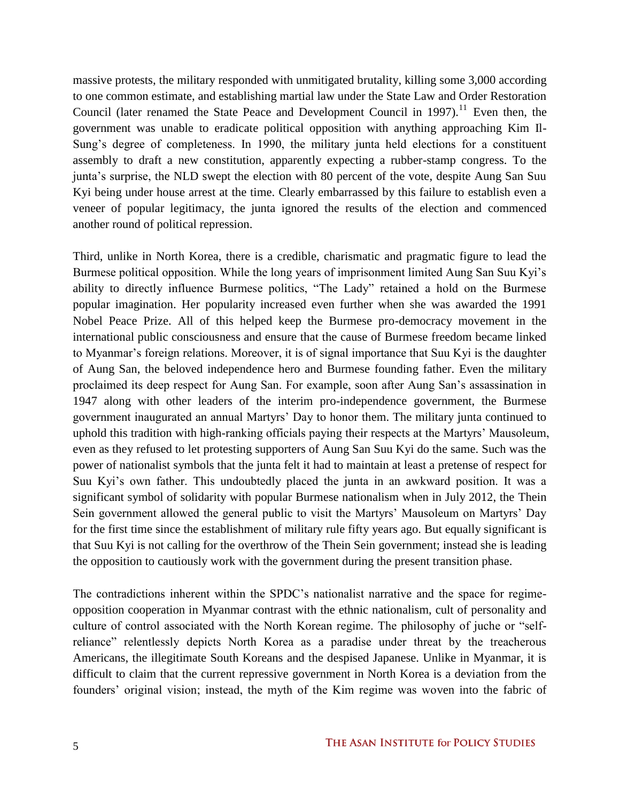massive protests, the military responded with unmitigated brutality, killing some 3,000 according to one common estimate, and establishing martial law under the State Law and Order Restoration Council (later renamed the State Peace and Development Council in  $1997$ ).<sup>11</sup> Even then, the government was unable to eradicate political opposition with anything approaching Kim Il-Sung's degree of completeness. In 1990, the military junta held elections for a constituent assembly to draft a new constitution, apparently expecting a rubber-stamp congress. To the junta's surprise, the NLD swept the election with 80 percent of the vote, despite Aung San Suu Kyi being under house arrest at the time. Clearly embarrassed by this failure to establish even a veneer of popular legitimacy, the junta ignored the results of the election and commenced another round of political repression.

Third, unlike in North Korea, there is a credible, charismatic and pragmatic figure to lead the Burmese political opposition. While the long years of imprisonment limited Aung San Suu Kyi's ability to directly influence Burmese politics, "The Lady" retained a hold on the Burmese popular imagination. Her popularity increased even further when she was awarded the 1991 Nobel Peace Prize. All of this helped keep the Burmese pro-democracy movement in the international public consciousness and ensure that the cause of Burmese freedom became linked to Myanmar's foreign relations. Moreover, it is of signal importance that Suu Kyi is the daughter of Aung San, the beloved independence hero and Burmese founding father. Even the military proclaimed its deep respect for Aung San. For example, soon after Aung San's assassination in 1947 along with other leaders of the interim pro-independence government, the Burmese government inaugurated an annual Martyrs' Day to honor them. The military junta continued to uphold this tradition with high-ranking officials paying their respects at the Martyrs' Mausoleum, even as they refused to let protesting supporters of Aung San Suu Kyi do the same. Such was the power of nationalist symbols that the junta felt it had to maintain at least a pretense of respect for Suu Kyi's own father. This undoubtedly placed the junta in an awkward position. It was a significant symbol of solidarity with popular Burmese nationalism when in July 2012, the Thein Sein government allowed the general public to visit the Martyrs' Mausoleum on Martyrs' Day for the first time since the establishment of military rule fifty years ago. But equally significant is that Suu Kyi is not calling for the overthrow of the Thein Sein government; instead she is leading the opposition to cautiously work with the government during the present transition phase.

The contradictions inherent within the SPDC's nationalist narrative and the space for regimeopposition cooperation in Myanmar contrast with the ethnic nationalism, cult of personality and culture of control associated with the North Korean regime. The philosophy of juche or "selfreliance" relentlessly depicts North Korea as a paradise under threat by the treacherous Americans, the illegitimate South Koreans and the despised Japanese. Unlike in Myanmar, it is difficult to claim that the current repressive government in North Korea is a deviation from the founders' original vision; instead, the myth of the Kim regime was woven into the fabric of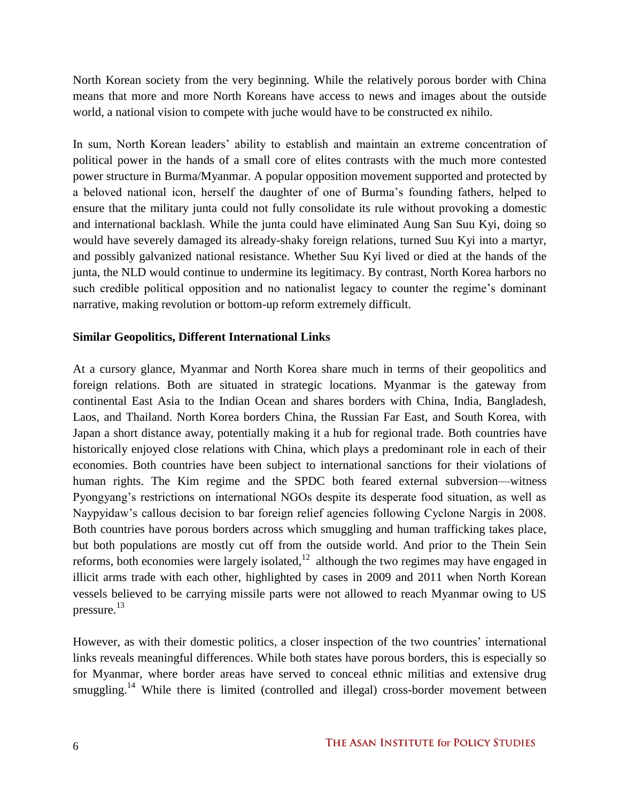North Korean society from the very beginning. While the relatively porous border with China means that more and more North Koreans have access to news and images about the outside world, a national vision to compete with juche would have to be constructed ex nihilo.

In sum, North Korean leaders' ability to establish and maintain an extreme concentration of political power in the hands of a small core of elites contrasts with the much more contested power structure in Burma/Myanmar. A popular opposition movement supported and protected by a beloved national icon, herself the daughter of one of Burma's founding fathers, helped to ensure that the military junta could not fully consolidate its rule without provoking a domestic and international backlash. While the junta could have eliminated Aung San Suu Kyi, doing so would have severely damaged its already-shaky foreign relations, turned Suu Kyi into a martyr, and possibly galvanized national resistance. Whether Suu Kyi lived or died at the hands of the junta, the NLD would continue to undermine its legitimacy. By contrast, North Korea harbors no such credible political opposition and no nationalist legacy to counter the regime's dominant narrative, making revolution or bottom-up reform extremely difficult.

## **Similar Geopolitics, Different International Links**

At a cursory glance, Myanmar and North Korea share much in terms of their geopolitics and foreign relations. Both are situated in strategic locations. Myanmar is the gateway from continental East Asia to the Indian Ocean and shares borders with China, India, Bangladesh, Laos, and Thailand. North Korea borders China, the Russian Far East, and South Korea, with Japan a short distance away, potentially making it a hub for regional trade. Both countries have historically enjoyed close relations with China, which plays a predominant role in each of their economies. Both countries have been subject to international sanctions for their violations of human rights. The Kim regime and the SPDC both feared external subversion—witness Pyongyang's restrictions on international NGOs despite its desperate food situation, as well as Naypyidaw's callous decision to bar foreign relief agencies following Cyclone Nargis in 2008. Both countries have porous borders across which smuggling and human trafficking takes place, but both populations are mostly cut off from the outside world. And prior to the Thein Sein reforms, both economies were largely isolated, $12$  although the two regimes may have engaged in illicit arms trade with each other, highlighted by cases in 2009 and 2011 when North Korean vessels believed to be carrying missile parts were not allowed to reach Myanmar owing to US pressure. 13

However, as with their domestic politics, a closer inspection of the two countries' international links reveals meaningful differences. While both states have porous borders, this is especially so for Myanmar, where border areas have served to conceal ethnic militias and extensive drug smuggling.<sup>14</sup> While there is limited (controlled and illegal) cross-border movement between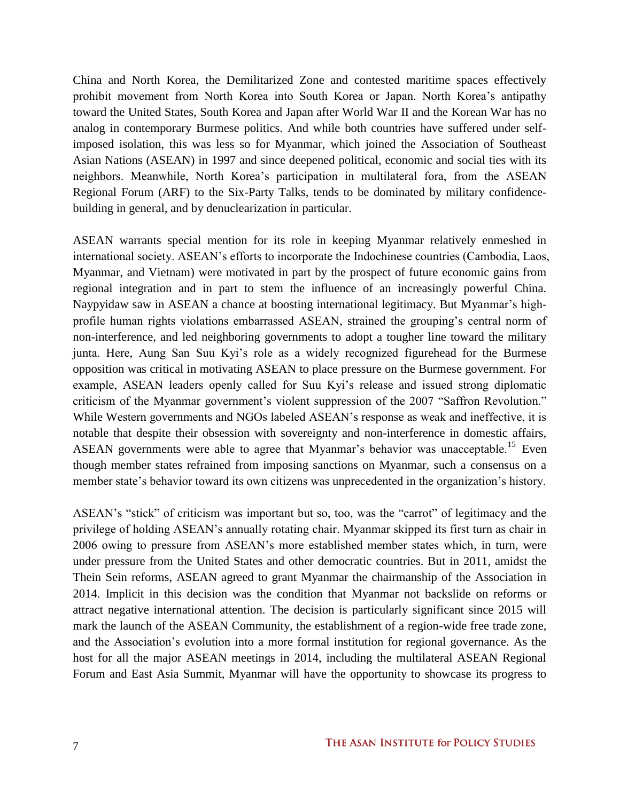China and North Korea, the Demilitarized Zone and contested maritime spaces effectively prohibit movement from North Korea into South Korea or Japan. North Korea's antipathy toward the United States, South Korea and Japan after World War II and the Korean War has no analog in contemporary Burmese politics. And while both countries have suffered under selfimposed isolation, this was less so for Myanmar, which joined the Association of Southeast Asian Nations (ASEAN) in 1997 and since deepened political, economic and social ties with its neighbors. Meanwhile, North Korea's participation in multilateral fora, from the ASEAN Regional Forum (ARF) to the Six-Party Talks, tends to be dominated by military confidencebuilding in general, and by denuclearization in particular.

ASEAN warrants special mention for its role in keeping Myanmar relatively enmeshed in international society. ASEAN's efforts to incorporate the Indochinese countries (Cambodia, Laos, Myanmar, and Vietnam) were motivated in part by the prospect of future economic gains from regional integration and in part to stem the influence of an increasingly powerful China. Naypyidaw saw in ASEAN a chance at boosting international legitimacy. But Myanmar's highprofile human rights violations embarrassed ASEAN, strained the grouping's central norm of non-interference, and led neighboring governments to adopt a tougher line toward the military junta. Here, Aung San Suu Kyi's role as a widely recognized figurehead for the Burmese opposition was critical in motivating ASEAN to place pressure on the Burmese government. For example, ASEAN leaders openly called for Suu Kyi's release and issued strong diplomatic criticism of the Myanmar government's violent suppression of the 2007 "Saffron Revolution." While Western governments and NGOs labeled ASEAN's response as weak and ineffective, it is notable that despite their obsession with sovereignty and non-interference in domestic affairs, ASEAN governments were able to agree that Myanmar's behavior was unacceptable.<sup>15</sup> Even though member states refrained from imposing sanctions on Myanmar, such a consensus on a member state's behavior toward its own citizens was unprecedented in the organization's history.

ASEAN's "stick" of criticism was important but so, too, was the "carrot" of legitimacy and the privilege of holding ASEAN's annually rotating chair. Myanmar skipped its first turn as chair in 2006 owing to pressure from ASEAN's more established member states which, in turn, were under pressure from the United States and other democratic countries. But in 2011, amidst the Thein Sein reforms, ASEAN agreed to grant Myanmar the chairmanship of the Association in 2014. Implicit in this decision was the condition that Myanmar not backslide on reforms or attract negative international attention. The decision is particularly significant since 2015 will mark the launch of the ASEAN Community, the establishment of a region-wide free trade zone, and the Association's evolution into a more formal institution for regional governance. As the host for all the major ASEAN meetings in 2014, including the multilateral ASEAN Regional Forum and East Asia Summit, Myanmar will have the opportunity to showcase its progress to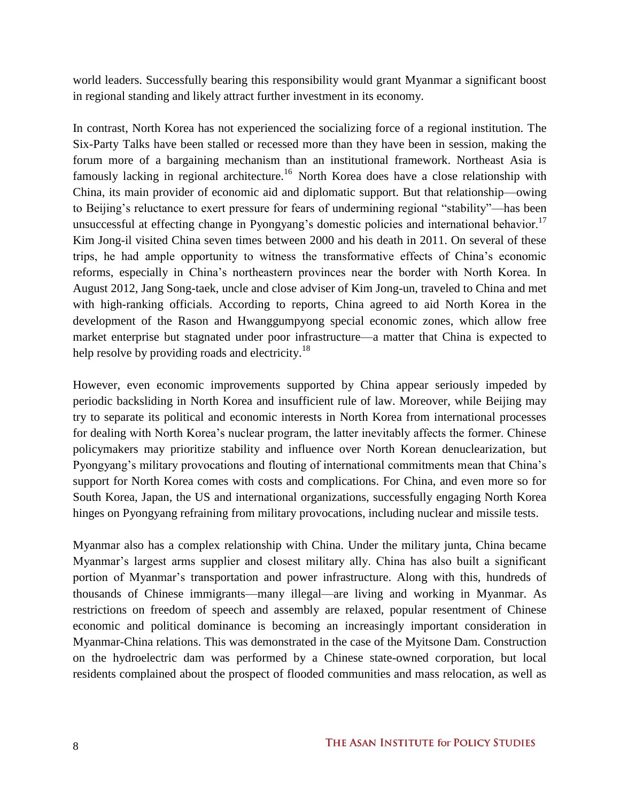world leaders. Successfully bearing this responsibility would grant Myanmar a significant boost in regional standing and likely attract further investment in its economy.

In contrast, North Korea has not experienced the socializing force of a regional institution. The Six-Party Talks have been stalled or recessed more than they have been in session, making the forum more of a bargaining mechanism than an institutional framework. Northeast Asia is famously lacking in regional architecture.<sup>16</sup> North Korea does have a close relationship with China, its main provider of economic aid and diplomatic support. But that relationship—owing to Beijing's reluctance to exert pressure for fears of undermining regional "stability"—has been unsuccessful at effecting change in Pyongyang's domestic policies and international behavior.<sup>17</sup> Kim Jong-il visited China seven times between 2000 and his death in 2011. On several of these trips, he had ample opportunity to witness the transformative effects of China's economic reforms, especially in China's northeastern provinces near the border with North Korea. In August 2012, Jang Song-taek, uncle and close adviser of Kim Jong-un, traveled to China and met with high-ranking officials. According to reports, China agreed to aid North Korea in the development of the Rason and Hwanggumpyong special economic zones, which allow free market enterprise but stagnated under poor infrastructure—a matter that China is expected to help resolve by providing roads and electricity.<sup>18</sup>

However, even economic improvements supported by China appear seriously impeded by periodic backsliding in North Korea and insufficient rule of law. Moreover, while Beijing may try to separate its political and economic interests in North Korea from international processes for dealing with North Korea's nuclear program, the latter inevitably affects the former. Chinese policymakers may prioritize stability and influence over North Korean denuclearization, but Pyongyang's military provocations and flouting of international commitments mean that China's support for North Korea comes with costs and complications. For China, and even more so for South Korea, Japan, the US and international organizations, successfully engaging North Korea hinges on Pyongyang refraining from military provocations, including nuclear and missile tests.

Myanmar also has a complex relationship with China. Under the military junta, China became Myanmar's largest arms supplier and closest military ally. China has also built a significant portion of Myanmar's transportation and power infrastructure. Along with this, hundreds of thousands of Chinese immigrants—many illegal—are living and working in Myanmar. As restrictions on freedom of speech and assembly are relaxed, popular resentment of Chinese economic and political dominance is becoming an increasingly important consideration in Myanmar-China relations. This was demonstrated in the case of the Myitsone Dam. Construction on the hydroelectric dam was performed by a Chinese state-owned corporation, but local residents complained about the prospect of flooded communities and mass relocation, as well as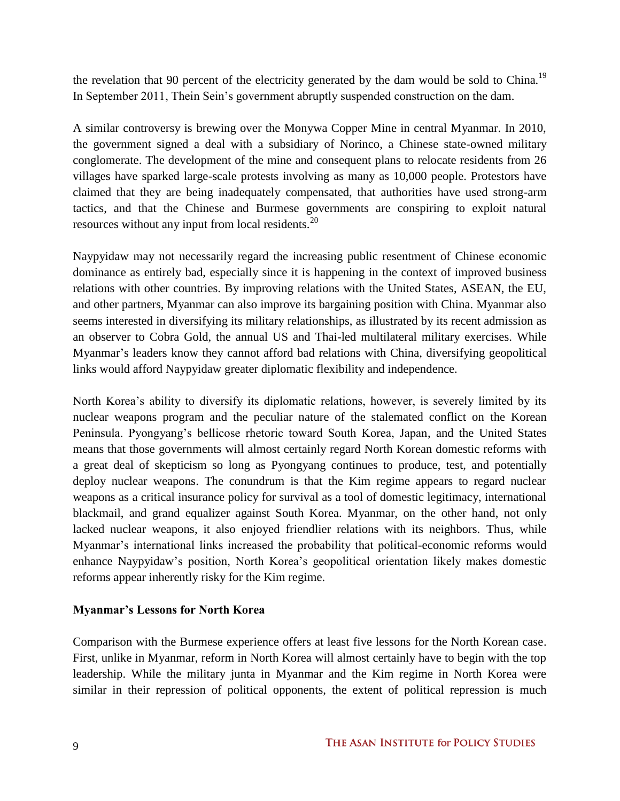the revelation that 90 percent of the electricity generated by the dam would be sold to China.<sup>19</sup> In September 2011, Thein Sein's government abruptly suspended construction on the dam.

A similar controversy is brewing over the Monywa Copper Mine in central Myanmar. In 2010, the government signed a deal with a subsidiary of Norinco, a Chinese state-owned military conglomerate. The development of the mine and consequent plans to relocate residents from 26 villages have sparked large-scale protests involving as many as 10,000 people. Protestors have claimed that they are being inadequately compensated, that authorities have used strong-arm tactics, and that the Chinese and Burmese governments are conspiring to exploit natural resources without any input from local residents.<sup>20</sup>

Naypyidaw may not necessarily regard the increasing public resentment of Chinese economic dominance as entirely bad, especially since it is happening in the context of improved business relations with other countries. By improving relations with the United States, ASEAN, the EU, and other partners, Myanmar can also improve its bargaining position with China. Myanmar also seems interested in diversifying its military relationships, as illustrated by its recent admission as an observer to Cobra Gold, the annual US and Thai-led multilateral military exercises. While Myanmar's leaders know they cannot afford bad relations with China, diversifying geopolitical links would afford Naypyidaw greater diplomatic flexibility and independence.

North Korea's ability to diversify its diplomatic relations, however, is severely limited by its nuclear weapons program and the peculiar nature of the stalemated conflict on the Korean Peninsula. Pyongyang's bellicose rhetoric toward South Korea, Japan, and the United States means that those governments will almost certainly regard North Korean domestic reforms with a great deal of skepticism so long as Pyongyang continues to produce, test, and potentially deploy nuclear weapons. The conundrum is that the Kim regime appears to regard nuclear weapons as a critical insurance policy for survival as a tool of domestic legitimacy, international blackmail, and grand equalizer against South Korea. Myanmar, on the other hand, not only lacked nuclear weapons, it also enjoyed friendlier relations with its neighbors. Thus, while Myanmar's international links increased the probability that political-economic reforms would enhance Naypyidaw's position, North Korea's geopolitical orientation likely makes domestic reforms appear inherently risky for the Kim regime.

# **Myanmar's Lessons for North Korea**

Comparison with the Burmese experience offers at least five lessons for the North Korean case. First, unlike in Myanmar, reform in North Korea will almost certainly have to begin with the top leadership. While the military junta in Myanmar and the Kim regime in North Korea were similar in their repression of political opponents, the extent of political repression is much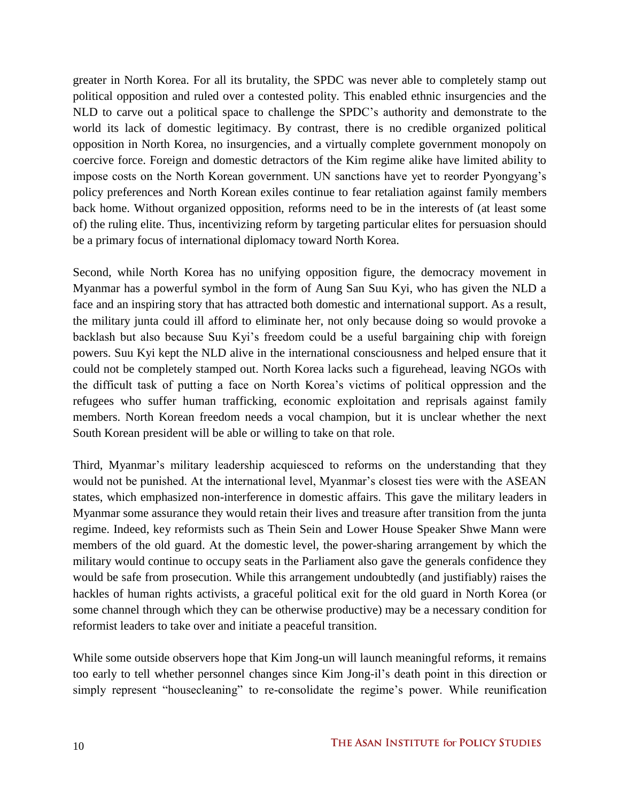greater in North Korea. For all its brutality, the SPDC was never able to completely stamp out political opposition and ruled over a contested polity. This enabled ethnic insurgencies and the NLD to carve out a political space to challenge the SPDC's authority and demonstrate to the world its lack of domestic legitimacy. By contrast, there is no credible organized political opposition in North Korea, no insurgencies, and a virtually complete government monopoly on coercive force. Foreign and domestic detractors of the Kim regime alike have limited ability to impose costs on the North Korean government. UN sanctions have yet to reorder Pyongyang's policy preferences and North Korean exiles continue to fear retaliation against family members back home. Without organized opposition, reforms need to be in the interests of (at least some of) the ruling elite. Thus, incentivizing reform by targeting particular elites for persuasion should be a primary focus of international diplomacy toward North Korea.

Second, while North Korea has no unifying opposition figure, the democracy movement in Myanmar has a powerful symbol in the form of Aung San Suu Kyi, who has given the NLD a face and an inspiring story that has attracted both domestic and international support. As a result, the military junta could ill afford to eliminate her, not only because doing so would provoke a backlash but also because Suu Kyi's freedom could be a useful bargaining chip with foreign powers. Suu Kyi kept the NLD alive in the international consciousness and helped ensure that it could not be completely stamped out. North Korea lacks such a figurehead, leaving NGOs with the difficult task of putting a face on North Korea's victims of political oppression and the refugees who suffer human trafficking, economic exploitation and reprisals against family members. North Korean freedom needs a vocal champion, but it is unclear whether the next South Korean president will be able or willing to take on that role.

Third, Myanmar's military leadership acquiesced to reforms on the understanding that they would not be punished. At the international level, Myanmar's closest ties were with the ASEAN states, which emphasized non-interference in domestic affairs. This gave the military leaders in Myanmar some assurance they would retain their lives and treasure after transition from the junta regime. Indeed, key reformists such as Thein Sein and Lower House Speaker Shwe Mann were members of the old guard. At the domestic level, the power-sharing arrangement by which the military would continue to occupy seats in the Parliament also gave the generals confidence they would be safe from prosecution. While this arrangement undoubtedly (and justifiably) raises the hackles of human rights activists, a graceful political exit for the old guard in North Korea (or some channel through which they can be otherwise productive) may be a necessary condition for reformist leaders to take over and initiate a peaceful transition.

While some outside observers hope that Kim Jong-un will launch meaningful reforms, it remains too early to tell whether personnel changes since Kim Jong-il's death point in this direction or simply represent "housecleaning" to re-consolidate the regime's power. While reunification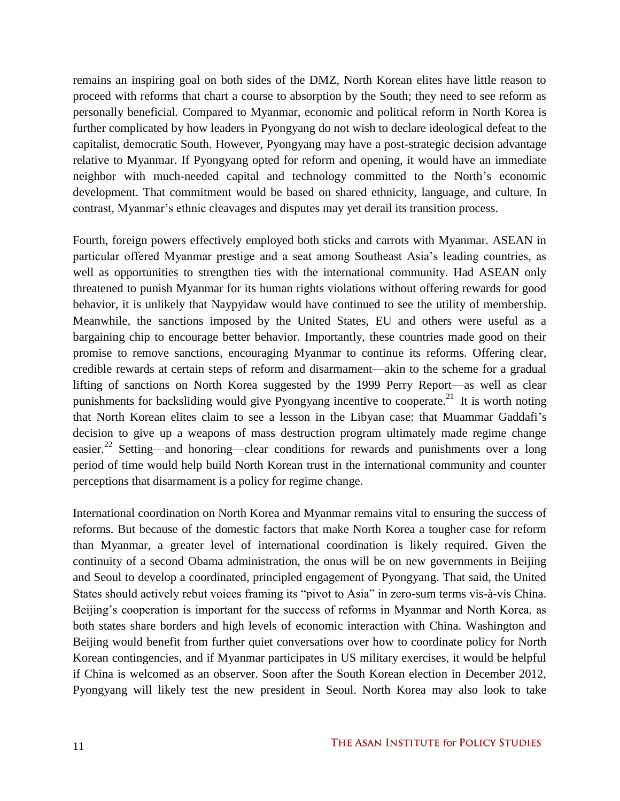remains an inspiring goal on both sides of the DMZ, North Korean elites have little reason to proceed with reforms that chart a course to absorption by the South; they need to see reform as personally beneficial. Compared to Myanmar, economic and political reform in North Korea is further complicated by how leaders in Pyongyang do not wish to declare ideological defeat to the capitalist, democratic South. However, Pyongyang may have a post-strategic decision advantage relative to Myanmar. If Pyongyang opted for reform and opening, it would have an immediate neighbor with much-needed capital and technology committed to the North's economic development. That commitment would be based on shared ethnicity, language, and culture. In contrast, Myanmar's ethnic cleavages and disputes may yet derail its transition process.

Fourth, foreign powers effectively employed both sticks and carrots with Myanmar. ASEAN in particular offered Myanmar prestige and a seat among Southeast Asia's leading countries, as well as opportunities to strengthen ties with the international community. Had ASEAN only threatened to punish Myanmar for its human rights violations without offering rewards for good behavior, it is unlikely that Naypyidaw would have continued to see the utility of membership. Meanwhile, the sanctions imposed by the United States, EU and others were useful as a bargaining chip to encourage better behavior. Importantly, these countries made good on their promise to remove sanctions, encouraging Myanmar to continue its reforms. Offering clear, credible rewards at certain steps of reform and disarmament—akin to the scheme for a gradual lifting of sanctions on North Korea suggested by the 1999 Perry Report—as well as clear punishments for backsliding would give Pyongyang incentive to cooperate.<sup>21</sup> It is worth noting that North Korean elites claim to see a lesson in the Libyan case: that Muammar Gaddafi's decision to give up a weapons of mass destruction program ultimately made regime change easier.<sup>22</sup> Setting—and honoring—clear conditions for rewards and punishments over a long period of time would help build North Korean trust in the international community and counter perceptions that disarmament is a policy for regime change.

International coordination on North Korea and Myanmar remains vital to ensuring the success of reforms. But because of the domestic factors that make North Korea a tougher case for reform than Myanmar, a greater level of international coordination is likely required. Given the continuity of a second Obama administration, the onus will be on new governments in Beijing and Seoul to develop a coordinated, principled engagement of Pyongyang. That said, the United States should actively rebut voices framing its "pivot to Asia" in zero-sum terms vis-à-vis China. Beijing's cooperation is important for the success of reforms in Myanmar and North Korea, as both states share borders and high levels of economic interaction with China. Washington and Beijing would benefit from further quiet conversations over how to coordinate policy for North Korean contingencies, and if Myanmar participates in US military exercises, it would be helpful if China is welcomed as an observer. Soon after the South Korean election in December 2012, Pyongyang will likely test the new president in Seoul. North Korea may also look to take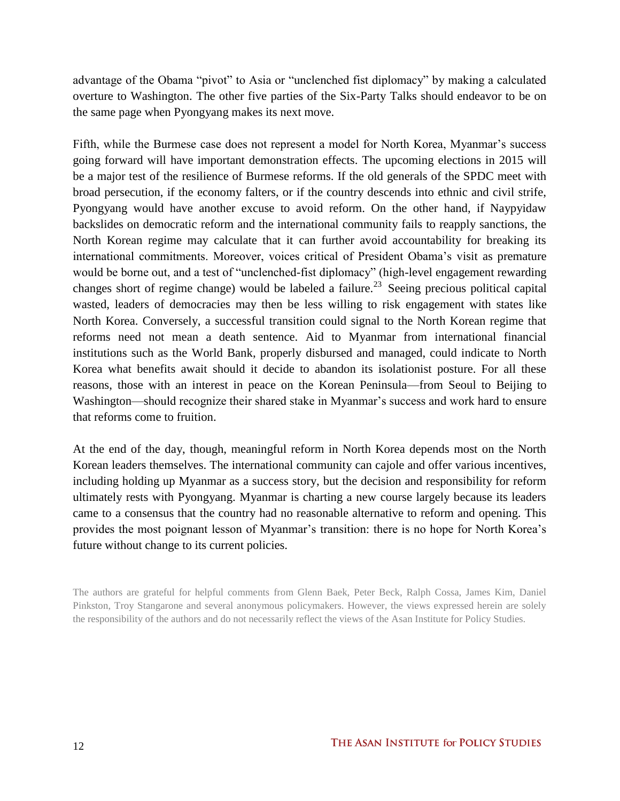advantage of the Obama "pivot" to Asia or "unclenched fist diplomacy" by making a calculated overture to Washington. The other five parties of the Six-Party Talks should endeavor to be on the same page when Pyongyang makes its next move.

Fifth, while the Burmese case does not represent a model for North Korea, Myanmar's success going forward will have important demonstration effects. The upcoming elections in 2015 will be a major test of the resilience of Burmese reforms. If the old generals of the SPDC meet with broad persecution, if the economy falters, or if the country descends into ethnic and civil strife, Pyongyang would have another excuse to avoid reform. On the other hand, if Naypyidaw backslides on democratic reform and the international community fails to reapply sanctions, the North Korean regime may calculate that it can further avoid accountability for breaking its international commitments. Moreover, voices critical of President Obama's visit as premature would be borne out, and a test of "unclenched-fist diplomacy" (high-level engagement rewarding changes short of regime change) would be labeled a failure.<sup>23</sup> Seeing precious political capital wasted, leaders of democracies may then be less willing to risk engagement with states like North Korea. Conversely, a successful transition could signal to the North Korean regime that reforms need not mean a death sentence. Aid to Myanmar from international financial institutions such as the World Bank, properly disbursed and managed, could indicate to North Korea what benefits await should it decide to abandon its isolationist posture. For all these reasons, those with an interest in peace on the Korean Peninsula—from Seoul to Beijing to Washington—should recognize their shared stake in Myanmar's success and work hard to ensure that reforms come to fruition.

At the end of the day, though, meaningful reform in North Korea depends most on the North Korean leaders themselves. The international community can cajole and offer various incentives, including holding up Myanmar as a success story, but the decision and responsibility for reform ultimately rests with Pyongyang. Myanmar is charting a new course largely because its leaders came to a consensus that the country had no reasonable alternative to reform and opening. This provides the most poignant lesson of Myanmar's transition: there is no hope for North Korea's future without change to its current policies.

The authors are grateful for helpful comments from Glenn Baek, Peter Beck, Ralph Cossa, James Kim, Daniel Pinkston, Troy Stangarone and several anonymous policymakers. However, the views expressed herein are solely the responsibility of the authors and do not necessarily reflect the views of the Asan Institute for Policy Studies.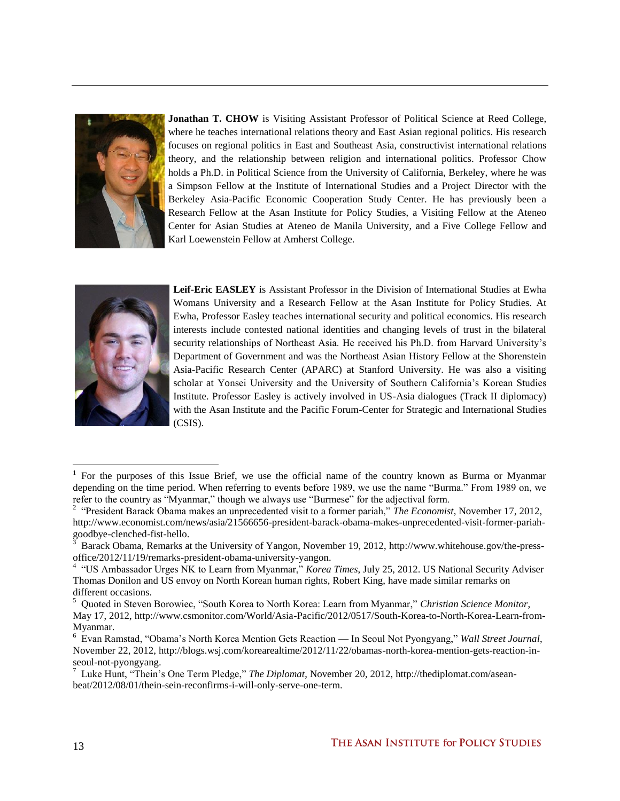

**Jonathan T. CHOW** is Visiting Assistant Professor of Political Science at Reed College, where he teaches international relations theory and East Asian regional politics. His research focuses on regional politics in East and Southeast Asia, constructivist international relations theory, and the relationship between religion and international politics. Professor Chow holds a Ph.D. in Political Science from the University of California, Berkeley, where he was a Simpson Fellow at the Institute of International Studies and a Project Director with the Berkeley Asia-Pacific Economic Cooperation Study Center. He has previously been a Research Fellow at the Asan Institute for Policy Studies, a Visiting Fellow at the Ateneo Center for Asian Studies at Ateneo de Manila University, and a Five College Fellow and Karl Loewenstein Fellow at Amherst College.



**Leif-Eric EASLEY** is Assistant Professor in the Division of International Studies at Ewha Womans University and a Research Fellow at the Asan Institute for Policy Studies. At Ewha, Professor Easley teaches international security and political economics. His research interests include contested national identities and changing levels of trust in the bilateral security relationships of Northeast Asia. He received his Ph.D. from Harvard University's Department of Government and was the Northeast Asian History Fellow at the Shorenstein Asia-Pacific Research Center (APARC) at Stanford University. He was also a visiting scholar at Yonsei University and the University of Southern California's Korean Studies Institute. Professor Easley is actively involved in US-Asia dialogues (Track II diplomacy) with the Asan Institute and the Pacific Forum-Center for Strategic and International Studies (CSIS).

l

<sup>1</sup> For the purposes of this Issue Brief, we use the official name of the country known as Burma or Myanmar depending on the time period. When referring to events before 1989, we use the name "Burma." From 1989 on, we refer to the country as "Myanmar," though we always use "Burmese" for the adjectival form.

<sup>&</sup>lt;sup>2</sup> "President Barack Obama makes an unprecedented visit to a former pariah," *The Economist*, November 17, 2012, [http://www.economist.com/news/asia/21566656-president-barack-obama-makes-unprecedented-visit-former-pariah](http://www.economist.com/news/asia/21566656-president-barack-obama-makes-unprecedented-visit-former-pariah-goodbye-clenched-fist-hello)[goodbye-clenched-fist-hello.](http://www.economist.com/news/asia/21566656-president-barack-obama-makes-unprecedented-visit-former-pariah-goodbye-clenched-fist-hello)

<sup>3</sup> Barack Obama, Remarks at the University of Yangon, November 19, 2012, [http://www.whitehouse.gov/the-press](http://www.whitehouse.gov/the-press-office/2012/11/19/remarks-president-obama-university-yangon)[office/2012/11/19/remarks-president-obama-university-yangon.](http://www.whitehouse.gov/the-press-office/2012/11/19/remarks-president-obama-university-yangon)

<sup>&</sup>lt;sup>4</sup> "US Ambassador Urges NK to Learn from Myanmar," *Korea Times*, July 25, 2012. US National Security Adviser Thomas Donilon and US envoy on North Korean human rights, Robert King, have made similar remarks on different occasions.

<sup>5</sup> Quoted in Steven Borowiec, "South Korea to North Korea: Learn from Myanmar," *Christian Science Monitor*, May 17, 2012, [http://www.csmonitor.com/World/Asia-Pacific/2012/0517/South-Korea-to-North-Korea-Learn-from-](http://www.csmonitor.com/World/Asia-Pacific/2012/0517/South-Korea-to-North-Korea-Learn-from-Myanmar)[Myanmar.](http://www.csmonitor.com/World/Asia-Pacific/2012/0517/South-Korea-to-North-Korea-Learn-from-Myanmar)

<sup>6</sup> Evan Ramstad, "Obama's North Korea Mention Gets Reaction — In Seoul Not Pyongyang," *Wall Street Journal*, November 22, 2012[, http://blogs.wsj.com/korearealtime/2012/11/22/obamas-north-korea-mention-gets-reaction-in](http://blogs.wsj.com/korearealtime/2012/11/22/obamas-north-korea-mention-gets-reaction-in-seoul-not-pyongyang)[seoul-not-pyongyang.](http://blogs.wsj.com/korearealtime/2012/11/22/obamas-north-korea-mention-gets-reaction-in-seoul-not-pyongyang)

<sup>7</sup> Luke Hunt, "Thein's One Term Pledge," *The Diplomat*, November 20, 2012[, http://thediplomat.com/asean](http://thediplomat.com/asean-beat/2012/08/01/thein-sein-reconfirms-i-will-only-serve-one-term)[beat/2012/08/01/thein-sein-reconfirms-i-will-only-serve-one-term.](http://thediplomat.com/asean-beat/2012/08/01/thein-sein-reconfirms-i-will-only-serve-one-term)